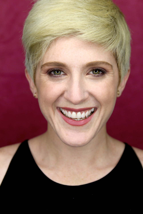